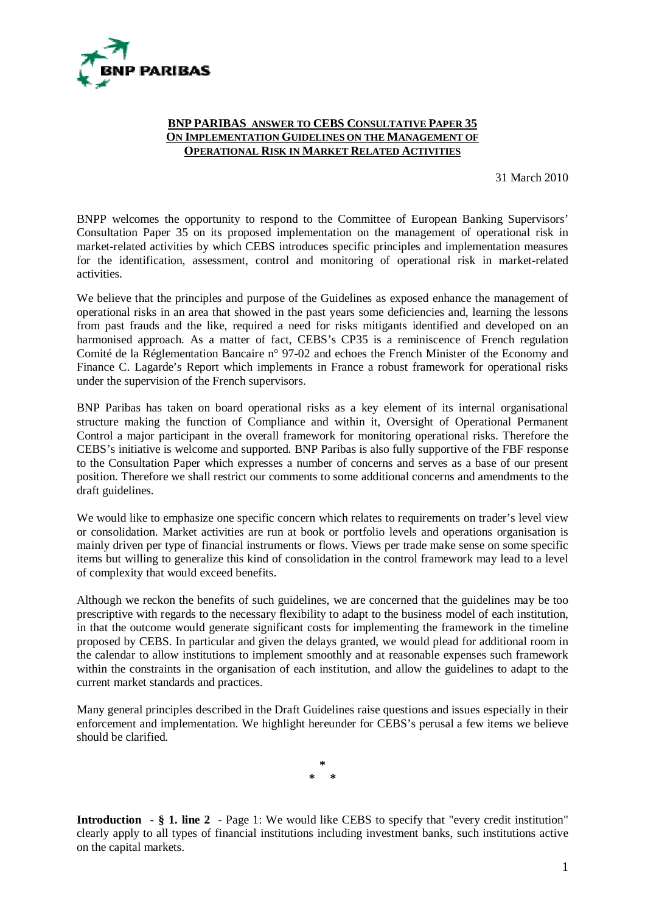

## **BNP PARIBAS ANSWER TO CEBS CONSULTATIVE PAPER 35 ON IMPLEMENTATION GUIDELINES ON THE MANAGEMENT OF OPERATIONAL RISK IN MARKET RELATED ACTIVITIES**

31 March 2010

BNPP welcomes the opportunity to respond to the Committee of European Banking Supervisors' Consultation Paper 35 on its proposed implementation on the management of operational risk in market-related activities by which CEBS introduces specific principles and implementation measures for the identification, assessment, control and monitoring of operational risk in market-related activities.

We believe that the principles and purpose of the Guidelines as exposed enhance the management of operational risks in an area that showed in the past years some deficiencies and, learning the lessons from past frauds and the like, required a need for risks mitigants identified and developed on an harmonised approach. As a matter of fact, CEBS's CP35 is a reminiscence of French regulation Comité de la Réglementation Bancaire n° 97-02 and echoes the French Minister of the Economy and Finance C. Lagarde's Report which implements in France a robust framework for operational risks under the supervision of the French supervisors.

BNP Paribas has taken on board operational risks as a key element of its internal organisational structure making the function of Compliance and within it, Oversight of Operational Permanent Control a major participant in the overall framework for monitoring operational risks. Therefore the CEBS's initiative is welcome and supported. BNP Paribas is also fully supportive of the FBF response to the Consultation Paper which expresses a number of concerns and serves as a base of our present position. Therefore we shall restrict our comments to some additional concerns and amendments to the draft guidelines.

We would like to emphasize one specific concern which relates to requirements on trader's level view or consolidation. Market activities are run at book or portfolio levels and operations organisation is mainly driven per type of financial instruments or flows. Views per trade make sense on some specific items but willing to generalize this kind of consolidation in the control framework may lead to a level of complexity that would exceed benefits.

Although we reckon the benefits of such guidelines, we are concerned that the guidelines may be too prescriptive with regards to the necessary flexibility to adapt to the business model of each institution, in that the outcome would generate significant costs for implementing the framework in the timeline proposed by CEBS. In particular and given the delays granted, we would plead for additional room in the calendar to allow institutions to implement smoothly and at reasonable expenses such framework within the constraints in the organisation of each institution, and allow the guidelines to adapt to the current market standards and practices.

Many general principles described in the Draft Guidelines raise questions and issues especially in their enforcement and implementation. We highlight hereunder for CEBS's perusal a few items we believe should be clarified.

> **\* \* \***

**Introduction - § 1. line 2** - Page 1: We would like CEBS to specify that "every credit institution" clearly apply to all types of financial institutions including investment banks, such institutions active on the capital markets.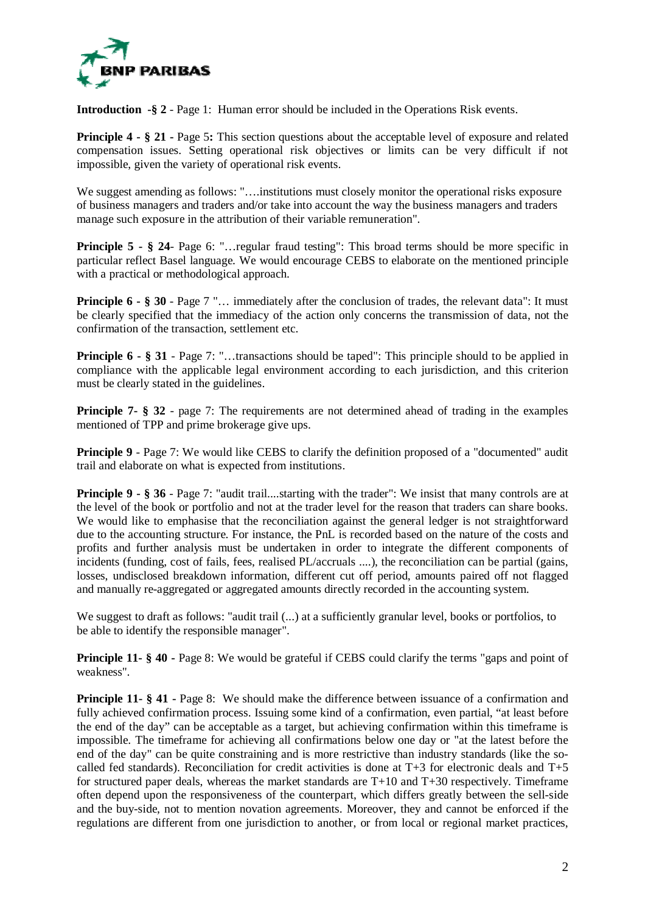

**Introduction -§ 2** - Page 1: Human error should be included in the Operations Risk events.

**Principle 4 - § 21 -** Page 5: This section questions about the acceptable level of exposure and related compensation issues. Setting operational risk objectives or limits can be very difficult if not impossible, given the variety of operational risk events.

We suggest amending as follows: "....institutions must closely monitor the operational risks exposure of business managers and traders and/or take into account the way the business managers and traders manage such exposure in the attribution of their variable remuneration".

**Principle 5 - § 24-** Page 6: "... regular fraud testing": This broad terms should be more specific in particular reflect Basel language. We would encourage CEBS to elaborate on the mentioned principle with a practical or methodological approach.

**Principle 6 - § 30** - Page 7 "... immediately after the conclusion of trades, the relevant data": It must be clearly specified that the immediacy of the action only concerns the transmission of data, not the confirmation of the transaction, settlement etc.

**Principle 6 - § 31** - Page 7: "...transactions should be taped": This principle should to be applied in compliance with the applicable legal environment according to each jurisdiction, and this criterion must be clearly stated in the guidelines.

**Principle 7- § 32** - page 7: The requirements are not determined ahead of trading in the examples mentioned of TPP and prime brokerage give ups.

**Principle 9** - Page 7: We would like CEBS to clarify the definition proposed of a "documented" audit trail and elaborate on what is expected from institutions.

**Principle 9 - § 36** - Page 7: "audit trail....starting with the trader": We insist that many controls are at the level of the book or portfolio and not at the trader level for the reason that traders can share books. We would like to emphasise that the reconciliation against the general ledger is not straightforward due to the accounting structure. For instance, the PnL is recorded based on the nature of the costs and profits and further analysis must be undertaken in order to integrate the different components of incidents (funding, cost of fails, fees, realised PL/accruals ....), the reconciliation can be partial (gains, losses, undisclosed breakdown information, different cut off period, amounts paired off not flagged and manually re-aggregated or aggregated amounts directly recorded in the accounting system.

We suggest to draft as follows: "audit trail  $(...)$  at a sufficiently granular level, books or portfolios, to be able to identify the responsible manager".

**Principle 11- § 40 -** Page 8: We would be grateful if CEBS could clarify the terms "gaps and point of weakness".

**Principle 11- § 41 -** Page 8: We should make the difference between issuance of a confirmation and fully achieved confirmation process. Issuing some kind of a confirmation, even partial, "at least before the end of the day" can be acceptable as a target, but achieving confirmation within this timeframe is impossible. The timeframe for achieving all confirmations below one day or "at the latest before the end of the day" can be quite constraining and is more restrictive than industry standards (like the socalled fed standards). Reconciliation for credit activities is done at T+3 for electronic deals and T+5 for structured paper deals, whereas the market standards are T+10 and T+30 respectively. Timeframe often depend upon the responsiveness of the counterpart, which differs greatly between the sell-side and the buy-side, not to mention novation agreements. Moreover, they and cannot be enforced if the regulations are different from one jurisdiction to another, or from local or regional market practices,